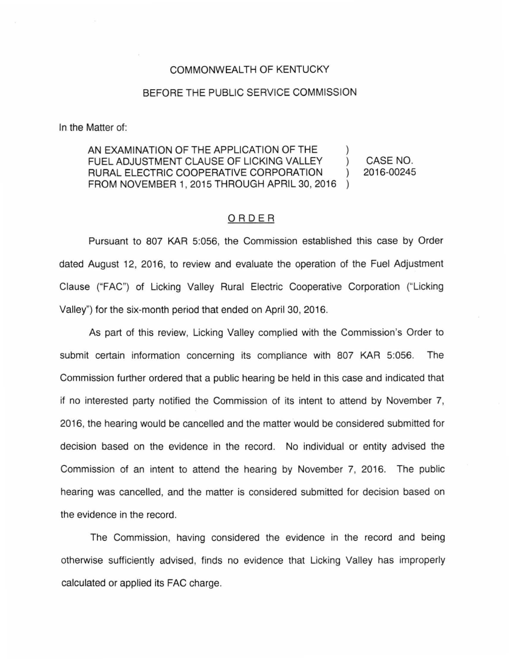## COMMONWEALTH OF KENTUCKY

## BEFORE THE PUBLIC SERVICE COMMISSION

In the Matter of:

AN EXAMINATION OF THE APPLICATION OF THE FUEL ADJUSTMENT CLAUSE OF LICKING VALLEY ) RURAL ELECTRIC COOPERATIVE CORPORATION ) FROM NOVEMBER 1, 2015 THROUGH APRIL 30, 2016 ) CASE NO. 2016-00245

## ORDER

Pursuant to 807 KAR 5:056, the Commission established this case by Order dated August 12, 2016, to review and evaluate the operation of the Fuel Adjustment Clause ("FAC") of Licking Valley Rural Electric Cooperative Corporation ("licking Valley") for the six-month period that ended on April 30, 2016.

As part of this review, Licking Valley complied with the Commission's Order to submit certain information concerning its compliance with 807 KAR 5:056. The Commission further ordered that a public hearing be held in this case and indicated that if no interested party notified the Commission of its intent to attend by November 7, 2016, the hearing would be cancelled and the matter would be considered submitted for decision based on the evidence in the record. No individual or entity advised the Commission of an intent to attend the hearing by November 7, 2016. The public hearing was cancelled, and the matter is considered submitted for decision based on the evidence in the record.

The Commission, having considered the evidence in the record and being otherwise sufficiently advised, finds no evidence that Licking Valley has improperly calculated or applied its FAG charge.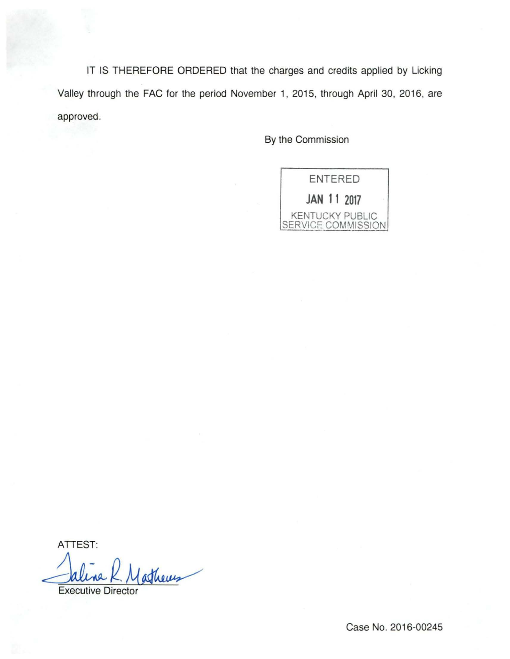IT IS THEREFORE ORDERED that the charges and credits applied by Licking Valley through the FAC for the period November 1, 2015, through April 30, 2016, are approved.

By the Commission



ATTEST:

athers

**Executive Director** 

Case No. 2016-00245